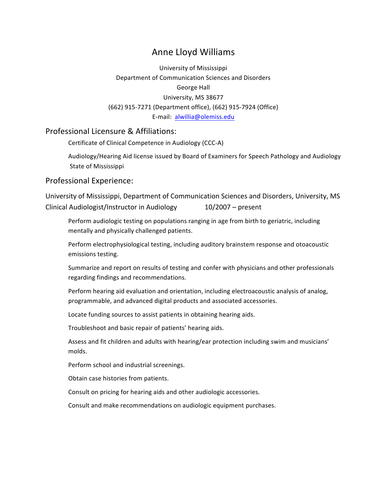# Anne Lloyd Williams

University of Mississippi Department of Communication Sciences and Disorders George Hall University, MS 38677 (662) 915-7271 (Department office), (662) 915-7924 (Office) E-mail: alwillia@olemiss.edu

### Professional Licensure & Affiliations:

Certificate of Clinical Competence in Audiology (CCC-A)

Audiology/Hearing Aid license issued by Board of Examiners for Speech Pathology and Audiology State of Mississippi

### Professional Experience:

University of Mississippi, Department of Communication Sciences and Disorders, University, MS Clinical Audiologist/Instructor in Audiology  $10/2007 -$  present

Perform audiologic testing on populations ranging in age from birth to geriatric, including mentally and physically challenged patients.

Perform electrophysiological testing, including auditory brainstem response and otoacoustic emissions testing.

Summarize and report on results of testing and confer with physicians and other professionals regarding findings and recommendations.

Perform hearing aid evaluation and orientation, including electroacoustic analysis of analog, programmable, and advanced digital products and associated accessories.

Locate funding sources to assist patients in obtaining hearing aids.

Troubleshoot and basic repair of patients' hearing aids.

Assess and fit children and adults with hearing/ear protection including swim and musicians' molds.

Perform school and industrial screenings.

Obtain case histories from patients.

Consult on pricing for hearing aids and other audiologic accessories.

Consult and make recommendations on audiologic equipment purchases.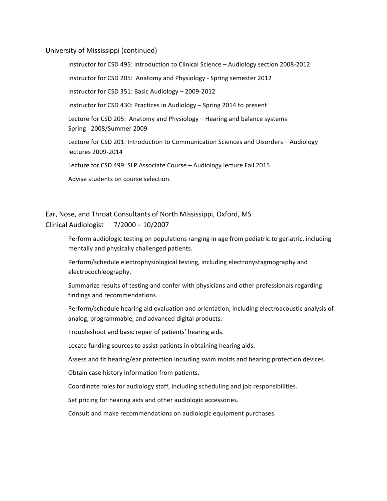#### University of Mississippi (continued)

Instructor for CSD 495: Introduction to Clinical Science - Audiology section 2008-2012

Instructor for CSD 205: Anatomy and Physiology - Spring semester 2012

Instructor for CSD 351: Basic Audiology - 2009-2012

Instructor for CSD 430: Practices in Audiology – Spring 2014 to present

Lecture for CSD 205: Anatomy and Physiology  $-$  Hearing and balance systems Spring 2008/Summer 2009

Lecture for CSD 201: Introduction to Communication Sciences and Disorders - Audiology lectures 2009-2014

Lecture for CSD 499: SLP Associate Course - Audiology lecture Fall 2015

Advise students on course selection.

# Ear, Nose, and Throat Consultants of North Mississippi, Oxford, MS Clinical Audiologist  $7/2000 - 10/2007$

Perform audiologic testing on populations ranging in age from pediatric to geriatric, including mentally and physically challenged patients.

Perform/schedule electrophysiological testing, including electronystagmography and electrocochleography.

Summarize results of testing and confer with physicians and other professionals regarding findings and recommendations.

Perform/schedule hearing aid evaluation and orientation, including electroacoustic analysis of analog, programmable, and advanced digital products.

Troubleshoot and basic repair of patients' hearing aids.

Locate funding sources to assist patients in obtaining hearing aids.

Assess and fit hearing/ear protection including swim molds and hearing protection devices.

Obtain case history information from patients.

Coordinate roles for audiology staff, including scheduling and job responsibilities.

Set pricing for hearing aids and other audiologic accessories.

Consult and make recommendations on audiologic equipment purchases.